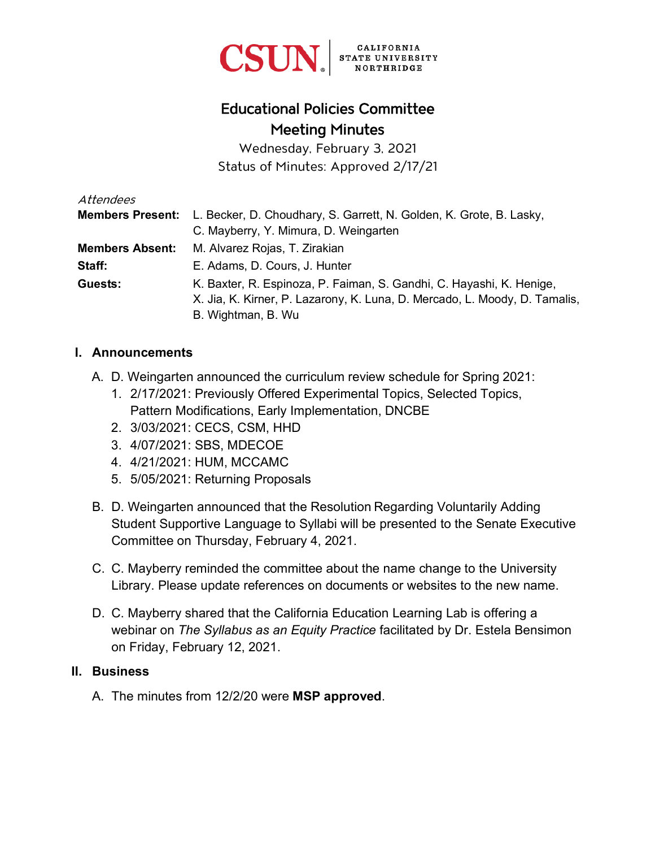

# Educational Policies Committee Meeting Minutes

Wednesday, February 3, 2021 Status of Minutes: Approved 2/17/21

| Attendees               |                                                                            |
|-------------------------|----------------------------------------------------------------------------|
| <b>Members Present:</b> | L. Becker, D. Choudhary, S. Garrett, N. Golden, K. Grote, B. Lasky,        |
|                         | C. Mayberry, Y. Mimura, D. Weingarten                                      |
| <b>Members Absent:</b>  | M. Alvarez Rojas, T. Zirakian                                              |
| Staff:                  | E. Adams, D. Cours, J. Hunter                                              |
| Guests:                 | K. Baxter, R. Espinoza, P. Faiman, S. Gandhi, C. Hayashi, K. Henige,       |
|                         | X. Jia, K. Kirner, P. Lazarony, K. Luna, D. Mercado, L. Moody, D. Tamalis, |
|                         | B. Wightman, B. Wu                                                         |

#### **I. Announcements**

- A. D. Weingarten announced the curriculum review schedule for Spring 2021:
	- 1. 2/17/2021: Previously Offered Experimental Topics, Selected Topics, Pattern Modifications, Early Implementation, DNCBE
	- 2. 3/03/2021: CECS, CSM, HHD
	- 3. 4/07/2021: SBS, MDECOE
	- 4. 4/21/2021: HUM, MCCAMC
	- 5. 5/05/2021: Returning Proposals
- B. D. Weingarten announced that the Resolution Regarding Voluntarily Adding Student Supportive Language to Syllabi will be presented to the Senate Executive Committee on Thursday, February 4, 2021.
- C. C. Mayberry reminded the committee about the name change to the University Library. Please update references on documents or websites to the new name.
- D. C. Mayberry shared that the California Education Learning Lab is offering a webinar on *The Syllabus as an Equity Practice* facilitated by Dr. Estela Bensimon on Friday, February 12, 2021.

#### **II. Business**

A. The minutes from 12/2/20 were **MSP approved**.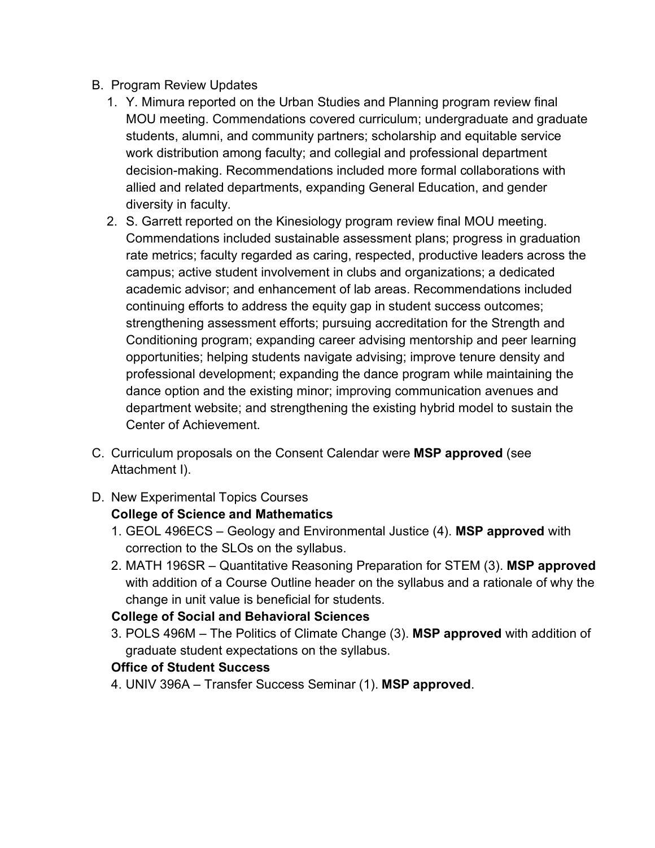- B. Program Review Updates
	- 1. Y. Mimura reported on the Urban Studies and Planning program review final MOU meeting. Commendations covered curriculum; undergraduate and graduate students, alumni, and community partners; scholarship and equitable service work distribution among faculty; and collegial and professional department decision-making. Recommendations included more formal collaborations with allied and related departments, expanding General Education, and gender diversity in faculty.
	- 2. S. Garrett reported on the Kinesiology program review final MOU meeting. Commendations included sustainable assessment plans; progress in graduation rate metrics; faculty regarded as caring, respected, productive leaders across the campus; active student involvement in clubs and organizations; a dedicated academic advisor; and enhancement of lab areas. Recommendations included continuing efforts to address the equity gap in student success outcomes; strengthening assessment efforts; pursuing accreditation for the Strength and Conditioning program; expanding career advising mentorship and peer learning opportunities; helping students navigate advising; improve tenure density and professional development; expanding the dance program while maintaining the dance option and the existing minor; improving communication avenues and department website; and strengthening the existing hybrid model to sustain the Center of Achievement.
- C. Curriculum proposals on the Consent Calendar were **MSP approved** (see Attachment I).
- D. New Experimental Topics Courses

#### **College of Science and Mathematics**

- 1. GEOL 496ECS Geology and Environmental Justice (4). **MSP approved** with correction to the SLOs on the syllabus.
- 2. MATH 196SR Quantitative Reasoning Preparation for STEM (3). **MSP approved**  with addition of a Course Outline header on the syllabus and a rationale of why the change in unit value is beneficial for students.

## **College of Social and Behavioral Sciences**

3. POLS 496M – The Politics of Climate Change (3). **MSP approved** with addition of graduate student expectations on the syllabus.

## **Office of Student Success**

4. UNIV 396A – Transfer Success Seminar (1). **MSP approved**.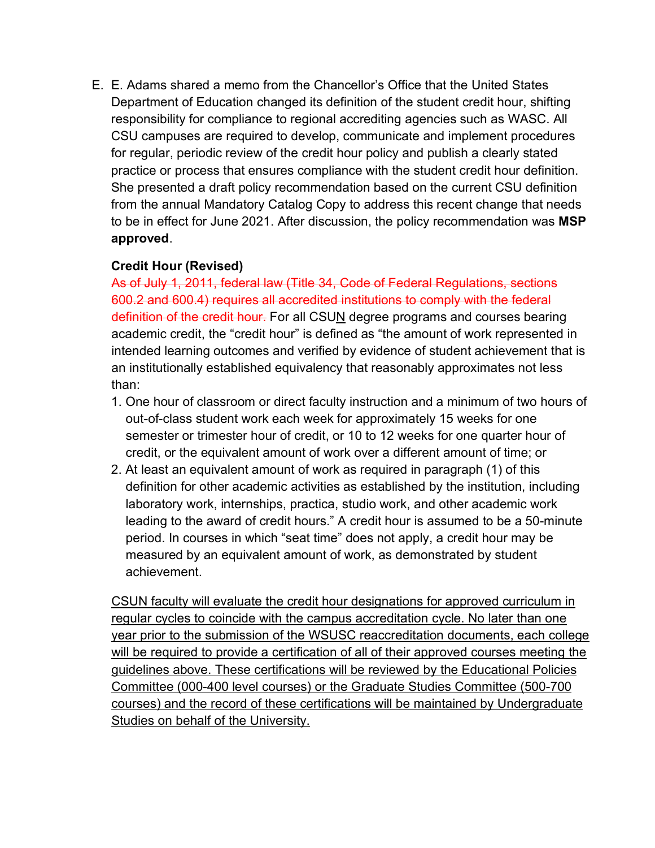E. E. Adams shared a memo from the Chancellor's Office that the United States Department of Education changed its definition of the student credit hour, shifting responsibility for compliance to regional accrediting agencies such as WASC. All CSU campuses are required to develop, communicate and implement procedures for regular, periodic review of the credit hour policy and publish a clearly stated practice or process that ensures compliance with the student credit hour definition. She presented a draft policy recommendation based on the current CSU definition from the annual Mandatory Catalog Copy to address this recent change that needs to be in effect for June 2021. After discussion, the policy recommendation was **MSP approved**.

#### **Credit Hour (Revised)**

As of July 1, 2011, federal law (Title 34, Code of Federal Regulations, sections 600.2 and 600.4) requires all accredited institutions to comply with the federal definition of the credit hour. For all CSUN degree programs and courses bearing academic credit, the "credit hour" is defined as "the amount of work represented in intended learning outcomes and verified by evidence of student achievement that is an institutionally established equivalency that reasonably approximates not less than:

- 1. One hour of classroom or direct faculty instruction and a minimum of two hours of out-of-class student work each week for approximately 15 weeks for one semester or trimester hour of credit, or 10 to 12 weeks for one quarter hour of credit, or the equivalent amount of work over a different amount of time; or
- 2. At least an equivalent amount of work as required in paragraph (1) of this definition for other academic activities as established by the institution, including laboratory work, internships, practica, studio work, and other academic work leading to the award of credit hours." A credit hour is assumed to be a 50-minute period. In courses in which "seat time" does not apply, a credit hour may be measured by an equivalent amount of work, as demonstrated by student achievement.

CSUN faculty will evaluate the credit hour designations for approved curriculum in regular cycles to coincide with the campus accreditation cycle. No later than one year prior to the submission of the WSUSC reaccreditation documents, each college will be required to provide a certification of all of their approved courses meeting the guidelines above. These certifications will be reviewed by the Educational Policies Committee (000-400 level courses) or the Graduate Studies Committee (500-700 courses) and the record of these certifications will be maintained by Undergraduate Studies on behalf of the University.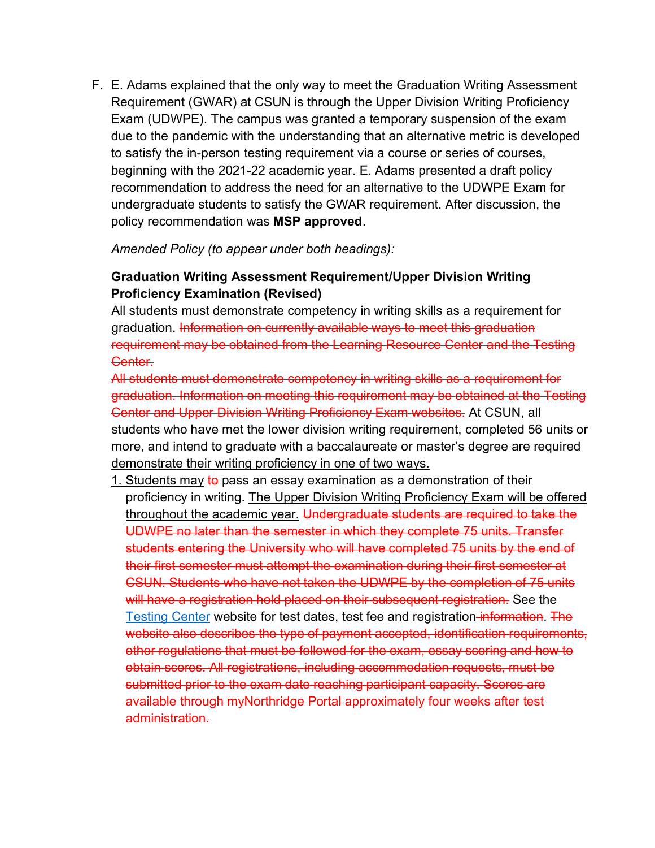F. E. Adams explained that the only way to meet the Graduation Writing Assessment Requirement (GWAR) at CSUN is through the Upper Division Writing Proficiency Exam (UDWPE). The campus was granted a temporary suspension of the exam due to the pandemic with the understanding that an alternative metric is developed to satisfy the in-person testing requirement via a course or series of courses, beginning with the 2021-22 academic year. E. Adams presented a draft policy recommendation to address the need for an alternative to the UDWPE Exam for undergraduate students to satisfy the GWAR requirement. After discussion, the policy recommendation was **MSP approved**.

*Amended Policy (to appear under both headings):* 

## **Graduation Writing Assessment Requirement/Upper Division Writing Proficiency Examination (Revised)**

All students must demonstrate competency in writing skills as a requirement for graduation. Information on currently available ways to meet this graduation requirement may be obtained from the Learning Resource Center and the Testing Center.

All students must demonstrate competency in writing skills as a requirement for graduation. Information on meeting this requirement may be obtained at the Testing Center and Upper Division Writing Proficiency Exam websites. At CSUN, all students who have met the lower division writing requirement, completed 56 units or more, and intend to graduate with a baccalaureate or master's degree are required demonstrate their writing proficiency in one of two ways.

1. Students may to pass an essay examination as a demonstration of their proficiency in writing. The Upper Division Writing Proficiency Exam will be offered throughout the academic year. Undergraduate students are required to take the UDWPE no later than the semester in which they complete 75 units. Transfer students entering the University who will have completed 75 units by the end of their first semester must attempt the examination during their first semester at CSUN. Students who have not taken the UDWPE by the completion of 75 units will have a registration hold placed on their subsequent registration. See the [Testing Center](http://www.csun.edu/testing/upper-division-writing-proficiency-exam-udwpe) website for test dates, test fee and registration information. The website also describes the type of payment accepted, identification requirements, other regulations that must be followed for the exam, essay scoring and how to obtain scores. All registrations, including accommodation requests, must be submitted prior to the exam date reaching participant capacity. Scores are available through myNorthridge Portal approximately four weeks after test administration.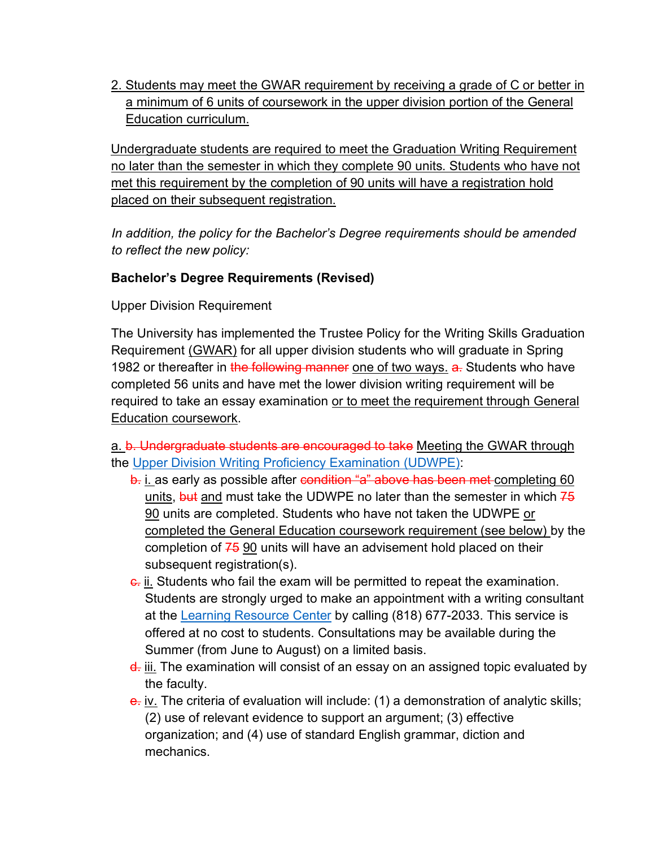2. Students may meet the GWAR requirement by receiving a grade of C or better in a minimum of 6 units of coursework in the upper division portion of the General Education curriculum.

Undergraduate students are required to meet the Graduation Writing Requirement no later than the semester in which they complete 90 units. Students who have not met this requirement by the completion of 90 units will have a registration hold placed on their subsequent registration.

*In addition, the policy for the Bachelor's Degree requirements should be amended to reflect the new policy:* 

#### **Bachelor's Degree Requirements (Revised)**

Upper Division Requirement

The University has implemented the Trustee Policy for the Writing Skills Graduation Requirement (GWAR) for all upper division students who will graduate in Spring 1982 or thereafter in the following manner one of two ways. a. Students who have completed 56 units and have met the lower division writing requirement will be required to take an essay examination or to meet the requirement through General Education coursework.

a. b. Undergraduate students are encouraged to take Meeting the GWAR through the [Upper Division Writing Proficiency Examination \(UDWPE\):](https://catalog.csun.edu/policies/upper-division-writing-proficiency-exam-udwpe/)

- b. i. as early as possible after condition "a" above has been met completing 60 units,  $\frac{1}{2}$  and must take the UDWPE no later than the semester in which  $7\frac{1}{2}$ 90 units are completed. Students who have not taken the UDWPE or completed the General Education coursework requirement (see below) by the completion of  $75$  90 units will have an advisement hold placed on their subsequent registration(s).
- e. ii. Students who fail the exam will be permitted to repeat the examination. Students are strongly urged to make an appointment with a writing consultant at the [Learning Resource Center](http://www.csun.edu/undergraduate-studies/learning-resource-center) by calling (818) 677-2033. This service is offered at no cost to students. Consultations may be available during the Summer (from June to August) on a limited basis.
- $\frac{d}{dx}$  iii. The examination will consist of an essay on an assigned topic evaluated by the faculty.
- e. iv. The criteria of evaluation will include: (1) a demonstration of analytic skills; (2) use of relevant evidence to support an argument; (3) effective organization; and (4) use of standard English grammar, diction and mechanics.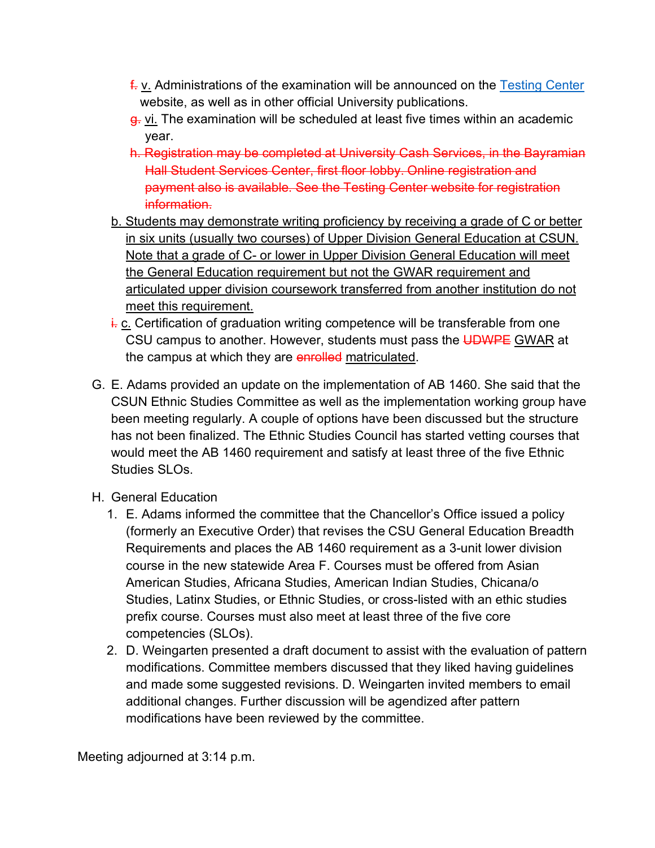- $\frac{f}{\epsilon}$  v. Administrations of the examination will be announced on the [Testing Center](http://www.csun.edu/testing/upper-division-writing-proficiency-exam-udwpe) website, as well as in other official University publications.
- g. vi. The examination will be scheduled at least five times within an academic year.
- h. Registration may be completed at University Cash Services, in the Bayramian Hall Student Services Center, first floor lobby. Online registration and payment also is available. See the Testing Center website for registration information.
- b. Students may demonstrate writing proficiency by receiving a grade of C or better in six units (usually two courses) of Upper Division General Education at CSUN. Note that a grade of C- or lower in Upper Division General Education will meet the General Education requirement but not the GWAR requirement and articulated upper division coursework transferred from another institution do not meet this requirement.
- $\frac{1}{1}$  c. Certification of graduation writing competence will be transferable from one CSU campus to another. However, students must pass the UDWPE GWAR at the campus at which they are enrolled matriculated.
- G. E. Adams provided an update on the implementation of AB 1460. She said that the CSUN Ethnic Studies Committee as well as the implementation working group have been meeting regularly. A couple of options have been discussed but the structure has not been finalized. The Ethnic Studies Council has started vetting courses that would meet the AB 1460 requirement and satisfy at least three of the five Ethnic Studies SLOs.
- H. General Education
	- 1. E. Adams informed the committee that the Chancellor's Office issued a policy (formerly an Executive Order) that revises the CSU General Education Breadth Requirements and places the AB 1460 requirement as a 3-unit lower division course in the new statewide Area F. Courses must be offered from Asian American Studies, Africana Studies, American Indian Studies, Chicana/o Studies, Latinx Studies, or Ethnic Studies, or cross-listed with an ethic studies prefix course. Courses must also meet at least three of the five core competencies (SLOs).
	- 2. D. Weingarten presented a draft document to assist with the evaluation of pattern modifications. Committee members discussed that they liked having guidelines and made some suggested revisions. D. Weingarten invited members to email additional changes. Further discussion will be agendized after pattern modifications have been reviewed by the committee.

Meeting adjourned at 3:14 p.m.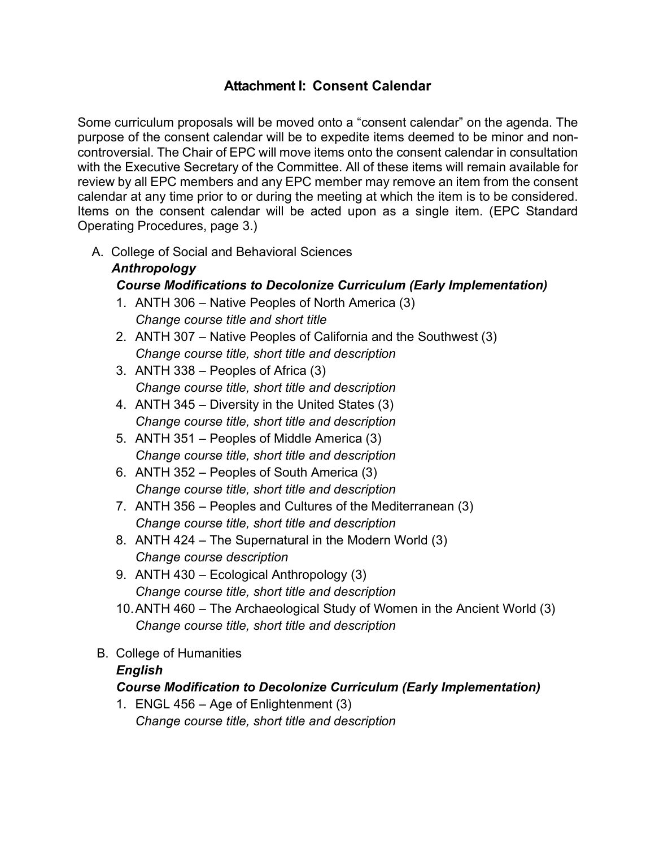#### **Attachment I: Consent Calendar**

Some curriculum proposals will be moved onto a "consent calendar" on the agenda. The purpose of the consent calendar will be to expedite items deemed to be minor and noncontroversial. The Chair of EPC will move items onto the consent calendar in consultation with the Executive Secretary of the Committee. All of these items will remain available for review by all EPC members and any EPC member may remove an item from the consent calendar at any time prior to or during the meeting at which the item is to be considered. Items on the consent calendar will be acted upon as a single item. (EPC Standard Operating Procedures, page 3.)

A. College of Social and Behavioral Sciences

#### *Anthropology Course Modifications to Decolonize Curriculum (Early Implementation)*

- 1. ANTH 306 Native Peoples of North America (3) *Change course title and short title*
- 2. ANTH 307 Native Peoples of California and the Southwest (3) *Change course title, short title and description*
- 3. ANTH 338 Peoples of Africa (3) *Change course title, short title and description*
- 4. ANTH 345 Diversity in the United States (3) *Change course title, short title and description*
- 5. ANTH 351 Peoples of Middle America (3) *Change course title, short title and description*
- 6. ANTH 352 Peoples of South America (3) *Change course title, short title and description*
- 7. ANTH 356 Peoples and Cultures of the Mediterranean (3) *Change course title, short title and description*
- 8. ANTH 424 The Supernatural in the Modern World (3) *Change course description*
- 9. ANTH 430 Ecological Anthropology (3) *Change course title, short title and description*
- 10.ANTH 460 The Archaeological Study of Women in the Ancient World (3) *Change course title, short title and description*
- B. College of Humanities

#### *English*

#### *Course Modification to Decolonize Curriculum (Early Implementation)*

1. ENGL 456 – Age of Enlightenment (3) *Change course title, short title and description*